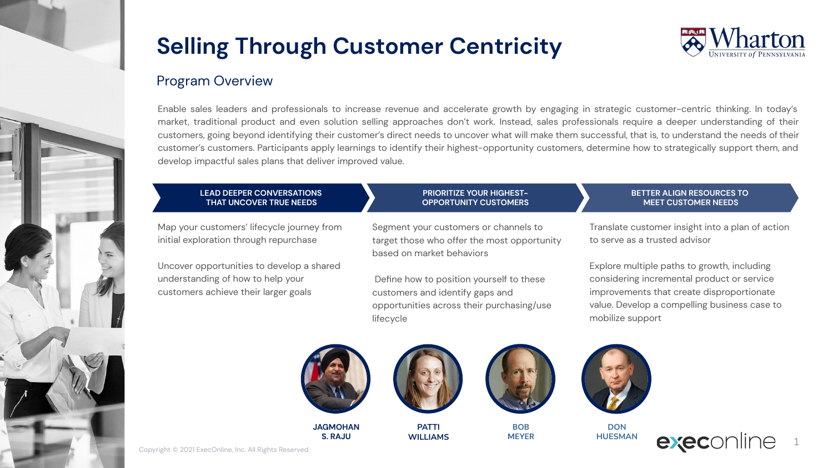

## Program Overview

Enable sales leaders and professionals to increase revenue and accelerate growth by engaging in strategic customer-centric thinking. In today's market, traditional product and even solution selling approaches don't work. Instead, sales professionals require a deeper understanding of their customers, going beyond identifying their customer's direct needs to uncover what will make them successful, that is, to understand the needs of their customer's customers. Participants apply learnings to identify their highest-opportunity customers, determine how to strategically support them, and develop impactful sales plans that deliver improved value.

## **LEAD DEEPER CONVERSATIONS THAT UNCOVER TRUE NEEDS**

Map your customers' lifecycle journey from initial exploration through repurchase

Uncover opportunities to develop a shared understanding of how to help your customers achieve their larger goals

## Segment your customers or channels to target those who offer the most opportunity based on market behaviors

**PRIORITIZE YOUR HIGHEST-OPPORTUNITY CUSTOMERS**

 Define how to position yourself to these customers and identify gaps and opportunities across their purchasing/use lifecycle

### **BETTER ALIGN RESOURCES TO MEET CUSTOMER NEEDS**

Translate customer insight into a plan of action to serve as a trusted advisor

Explore multiple paths to growth, including considering incremental product or service improvements that create disproportionate value. Develop a compelling business case to mobilize support



**JAGMOHAN S. RAJU**







**BOB MEYER**



**DON HUESMAN**



Copyright © 2021 ExecOnline, Inc. All Rights Reserved.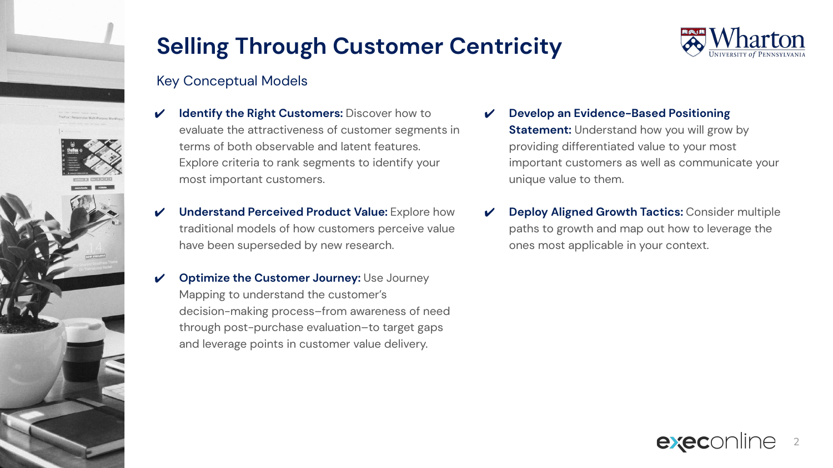

## Key Conceptual Models

- **Identify the Right Customers: Discover how to** evaluate the attractiveness of customer segments in terms of both observable and latent features. Explore criteria to rank segments to identify your most important customers.
- **Understand Perceived Product Value:** Explore how traditional models of how customers perceive value have been superseded by new research.
- **Optimize the Customer Journey: Use Journey** Mapping to understand the customer's decision-making process–from awareness of need through post-purchase evaluation–to target gaps and leverage points in customer value delivery.
- ✔ **Develop an Evidence-Based Positioning Statement:** Understand how you will grow by providing differentiated value to your most important customers as well as communicate your unique value to them.
- **Deploy Aligned Growth Tactics: Consider multiple** paths to growth and map out how to leverage the ones most applicable in your context.



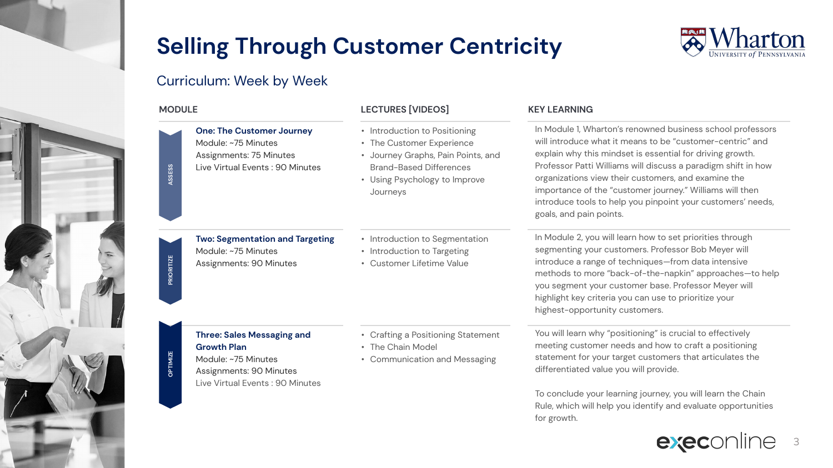

## Curriculum: Week by Week



**RITIZE** 

**One: The Customer Journey** Module: ~75 Minutes Assignments: 75 Minutes Live Virtual Events : 90 Minutes

**Two: Segmentation and Targeting**

## **MODULE LECTURES [VIDEOS] KEY LEARNING**

- Introduction to Positioning
- The Customer Experience
- Journey Graphs, Pain Points, and Brand-Based Differences
- Using Psychology to Improve Journeys
- Introduction to Segmentation
- Introduction to Targeting
- Customer Lifetime Value

- In Module 1, Wharton's renowned business school professors will introduce what it means to be "customer-centric" and explain why this mindset is essential for driving growth. Professor Patti Williams will discuss a paradigm shift in how organizations view their customers, and examine the importance of the "customer journey." Williams will then introduce tools to help you pinpoint your customers' needs, goals, and pain points.
- In Module 2, you will learn how to set priorities through segmenting your customers. Professor Bob Meyer will introduce a range of techniques—from data intensive methods to more "back-of-the-napkin" approaches—to help you segment your customer base. Professor Meyer will highlight key criteria you can use to prioritize your highest-opportunity customers.

**Three: Sales Messaging and Growth Plan**

Module: ~75 Minutes Assignments: 90 Minutes

- Module: ~75 Minutes Assignments: 90 Minutes Live Virtual Events : 90 Minutes
- Crafting a Positioning Statement
- The Chain Model
- Communication and Messaging

You will learn why "positioning" is crucial to effectively meeting customer needs and how to craft a positioning statement for your target customers that articulates the differentiated value you will provide.

To conclude your learning journey, you will learn the Chain Rule, which will help you identify and evaluate opportunities for growth.



## JPTIMIZE **OPTIMIZE**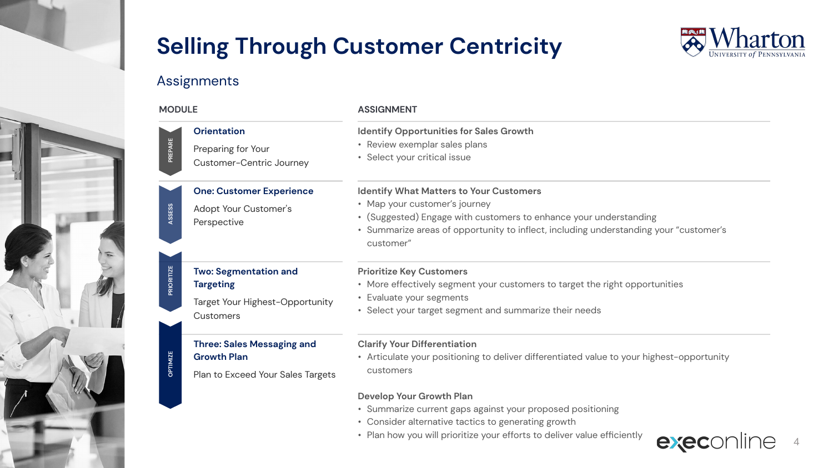

4

## Assignments

| <b>MODULE</b> |                                                                      | <b>ASSIGNMENT</b>                                                                                               |  |
|---------------|----------------------------------------------------------------------|-----------------------------------------------------------------------------------------------------------------|--|
| PREPARE       | <b>Orientation</b><br>Preparing for Your<br>Customer-Centric Journey | <b>Identify Opportunities for Sales Growth</b><br>• Review exemplar sales plans<br>• Select your critical issue |  |
|               | <b>One: Customer Experience</b>                                      | <b>Identify What Matters to Your Customers</b>                                                                  |  |
|               | Adopt Your Customer's                                                | • Map your customer's journey                                                                                   |  |
| ASSESS        | Perspective                                                          | • (Suggested) Engage with customers to enhance your understanding                                               |  |
|               |                                                                      | • Summarize areas of opportunity to inflect, including understanding your "customer's<br>customer"              |  |
|               | <b>Two: Segmentation and</b>                                         | <b>Prioritize Key Customers</b>                                                                                 |  |
| PRIORITIZE    | <b>Targeting</b>                                                     | • More effectively segment your customers to target the right opportunities                                     |  |
|               | Target Your Highest-Opportunity                                      | • Evaluate your segments                                                                                        |  |
|               | Customers                                                            | • Select your target segment and summarize their needs                                                          |  |
|               | <b>Three: Sales Messaging and</b>                                    | <b>Clarify Your Differentiation</b>                                                                             |  |
| OPTIMIZE      | <b>Growth Plan</b>                                                   | • Articulate your positioning to deliver differentiated value to your highest-opportunity<br>customers          |  |
|               | Plan to Exceed Your Sales Targets                                    |                                                                                                                 |  |
|               |                                                                      | Develop Your Growth Plan                                                                                        |  |
|               |                                                                      | • Summarize current gaps against your proposed positioning                                                      |  |
|               |                                                                      | • Consider alternative tactics to generating growth                                                             |  |
|               |                                                                      | • Plan how you will prioritize your efforts to deliver value efficiently<br>exec                                |  |